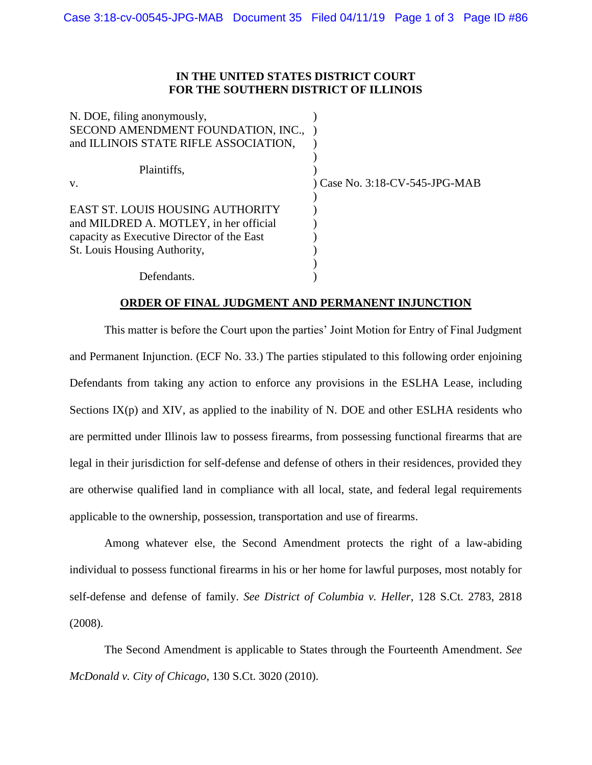## **IN THE UNITED STATES DISTRICT COURT FOR THE SOUTHERN DISTRICT OF ILLINOIS**

| N. DOE, filing anonymously,                |                                |
|--------------------------------------------|--------------------------------|
| SECOND AMENDMENT FOUNDATION, INC.,         |                                |
| and ILLINOIS STATE RIFLE ASSOCIATION,      |                                |
|                                            |                                |
| Plaintiffs,                                |                                |
| V.                                         | ) Case No. 3:18-CV-545-JPG-MAB |
|                                            |                                |
| EAST ST. LOUIS HOUSING AUTHORITY           |                                |
| and MILDRED A. MOTLEY, in her official     |                                |
| capacity as Executive Director of the East |                                |
| St. Louis Housing Authority,               |                                |
|                                            |                                |
| Defendants.                                |                                |

## **ORDER OF FINAL JUDGMENT AND PERMANENT INJUNCTION**

This matter is before the Court upon the parties' Joint Motion for Entry of Final Judgment and Permanent Injunction. (ECF No. 33.) The parties stipulated to this following order enjoining Defendants from taking any action to enforce any provisions in the ESLHA Lease, including Sections  $IX(p)$  and  $XIV$ , as applied to the inability of N. DOE and other ESLHA residents who are permitted under Illinois law to possess firearms, from possessing functional firearms that are legal in their jurisdiction for self-defense and defense of others in their residences, provided they are otherwise qualified land in compliance with all local, state, and federal legal requirements applicable to the ownership, possession, transportation and use of firearms.

Among whatever else, the Second Amendment protects the right of a law-abiding individual to possess functional firearms in his or her home for lawful purposes, most notably for self-defense and defense of family. *See District of Columbia v. Heller*, 128 S.Ct. 2783, 2818 (2008).

The Second Amendment is applicable to States through the Fourteenth Amendment. *See McDonald v. City of Chicago*, 130 S.Ct. 3020 (2010).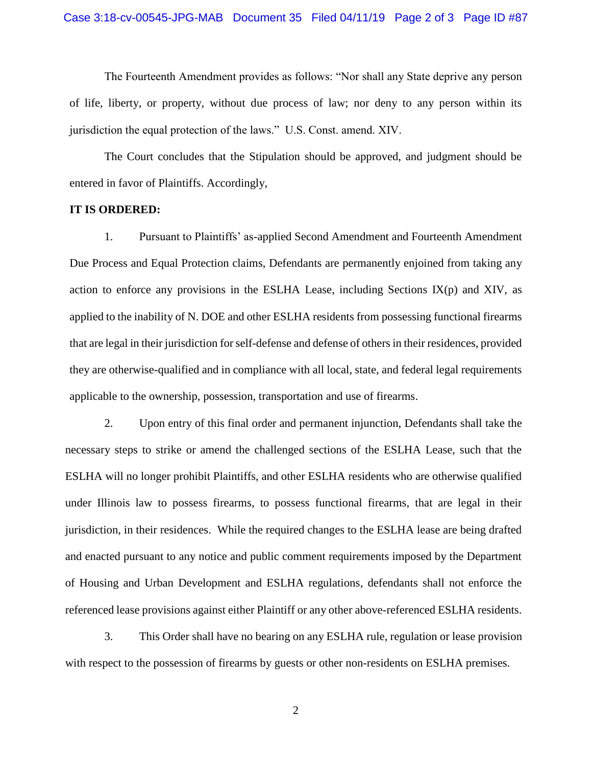The Fourteenth Amendment provides as follows: "Nor shall any State deprive any person of life, liberty, or property, without due process of law; nor deny to any person within its jurisdiction the equal protection of the laws." U.S. Const. amend. XIV.

The Court concludes that the Stipulation should be approved, and judgment should be entered in favor of Plaintiffs. Accordingly,

## **IT IS ORDERED:**

1. Pursuant to Plaintiffs' as-applied Second Amendment and Fourteenth Amendment Due Process and Equal Protection claims, Defendants are permanently enjoined from taking any action to enforce any provisions in the ESLHA Lease, including Sections  $IX(p)$  and  $XIV$ , as applied to the inability of N. DOE and other ESLHA residents from possessing functional firearms that are legal in their jurisdiction for self-defense and defense of others in their residences, provided they are otherwise-qualified and in compliance with all local, state, and federal legal requirements applicable to the ownership, possession, transportation and use of firearms.

2. Upon entry of this final order and permanent injunction, Defendants shall take the necessary steps to strike or amend the challenged sections of the ESLHA Lease, such that the ESLHA will no longer prohibit Plaintiffs, and other ESLHA residents who are otherwise qualified under Illinois law to possess firearms, to possess functional firearms, that are legal in their jurisdiction, in their residences. While the required changes to the ESLHA lease are being drafted and enacted pursuant to any notice and public comment requirements imposed by the Department of Housing and Urban Development and ESLHA regulations, defendants shall not enforce the referenced lease provisions against either Plaintiff or any other above-referenced ESLHA residents.

3. This Order shall have no bearing on any ESLHA rule, regulation or lease provision with respect to the possession of firearms by guests or other non-residents on ESLHA premises.

2